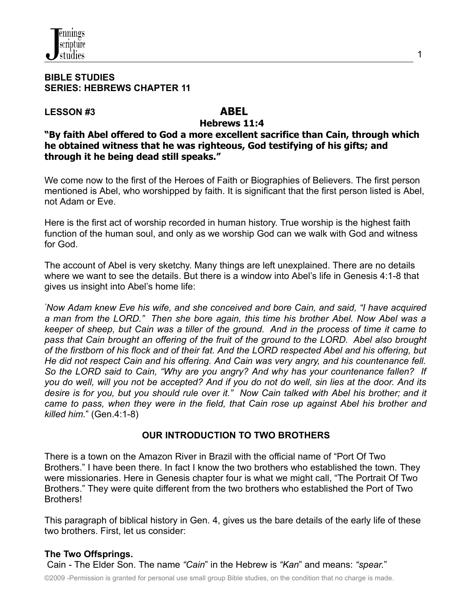#### **BIBLE STUDIES SERIES: HEBREWS CHAPTER 11**

#### **LESSON #3 ABEL**

#### **Hebrews 11:4**

**"By faith Abel offered to God a more excellent sacrifice than Cain, through which he obtained witness that he was righteous, God testifying of his gifts; and through it he being dead still speaks."**

We come now to the first of the Heroes of Faith or Biographies of Believers. The first person mentioned is Abel, who worshipped by faith. It is significant that the first person listed is Abel, not Adam or Eve.

Here is the first act of worship recorded in human history. True worship is the highest faith function of the human soul, and only as we worship God can we walk with God and witness for God.

The account of Abel is very sketchy. Many things are left unexplained. There are no details where we want to see the details. But there is a window into Abel's life in Genesis 4:1-8 that gives us insight into Abel's home life:

*"Now Adam knew Eve his wife, and she conceived and bore Cain, and said, "I have acquired a man from the LORD." Then she bore again, this time his brother Abel. Now Abel was a* keeper of sheep, but Cain was a tiller of the ground. And in the process of time it came to *pass that Cain brought an offering of the fruit of the ground to the LORD. Abel also brought* of the firstborn of his flock and of their fat. And the LORD respected Abel and his offering, but *He did not respect Cain and his offering. And Cain was very angry, and his countenance fell. So the LORD said to Cain, "Why are you angry? And why has your countenance fallen? If* you do well, will you not be accepted? And if you do not do well, sin lies at the door. And its desire is for you, but you should rule over it." Now Cain talked with Abel his brother; and it *came to pass, when they were in the field, that Cain rose up against Abel his brother and killed him.*" (Gen.4:1-8)

# **OUR INTRODUCTION TO TWO BROTHERS**

There is a town on the Amazon River in Brazil with the official name of "Port Of Two Brothers." I have been there. In fact I know the two brothers who established the town. They were missionaries. Here in Genesis chapter four is what we might call, "The Portrait Of Two Brothers." They were quite different from the two brothers who established the Port of Two Brothers!

This paragraph of biblical history in Gen. 4, gives us the bare details of the early life of these two brothers. First, let us consider:

# **The Two Offsprings.**

Cain - The Elder Son. The name *"Cain*" in the Hebrew is *"Kan*" and means: *"spear.*"

©2009 -Permission is granted for personal use small group Bible studies, on the condition that no charge is made.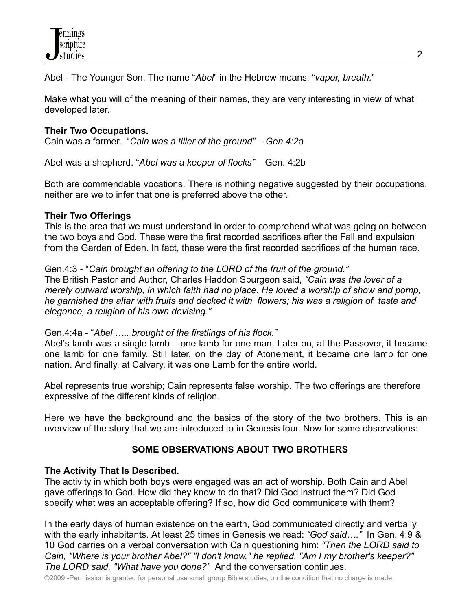Abel - The Younger Son. The name "*Abel*" in the Hebrew means: "*vapor, breath.*"

Make what you will of the meaning of their names, they are very interesting in view of what developed later.

#### **Their Two Occupations.**

Cain was a farmer. "*Cain was a tiller of the ground" – Gen.4:2a*

Abel was a shepherd. "*Abel was a keeper of flocks" –* Gen. 4:2b

Both are commendable vocations. There is nothing negative suggested by their occupations, neither are we to infer that one is preferred above the other.

#### **Their Two Offerings**

This is the area that we must understand in order to comprehend what was going on between the two boys and God. These were the first recorded sacrifices after the Fall and expulsion from the Garden of Eden. In fact, these were the first recorded sacrifices of the human race.

Gen.4:3 - "*Cain brought an offering to the LORD of the fruit of the ground."* The British Pastor and Author, Charles Haddon Spurgeon said, *"Cain was the lover of a merely outward worship, in which faith had no place. He loved a worship of show and pomp, he garnished the altar with fruits and decked it with flowers; his was a religion of taste and elegance, a religion of his own devising."*

Gen.4:4a - "*Abel ….. brought of the firstlings of his flock."*

Abel's lamb was a single lamb – one lamb for one man. Later on, at the Passover, it became one lamb for one family. Still later, on the day of Atonement, it became one lamb for one nation. And finally, at Calvary, it was one Lamb for the entire world.

Abel represents true worship; Cain represents false worship. The two offerings are therefore expressive of the different kinds of religion.

Here we have the background and the basics of the story of the two brothers. This is an overview of the story that we are introduced to in Genesis four. Now for some observations:

# **SOME OBSERVATIONS ABOUT TWO BROTHERS**

#### **The Activity That Is Described.**

The activity in which both boys were engaged was an act of worship. Both Cain and Abel gave offerings to God. How did they know to do that? Did God instruct them? Did God specify what was an acceptable offering? If so, how did God communicate with them?

In the early days of human existence on the earth, God communicated directly and verbally with the early inhabitants. At least 25 times in Genesis we read: *"God said…."* In Gen. 4:9 & 10 God carries on a verbal conversation with Cain questioning him: *"Then the LORD said to Cain, "Where is your brother Abel?" "I don't know," he replied. "Am I my brother's keeper?" The LORD said, "What have you done?"* And the conversation continues.

©2009 -Permission is granted for personal use small group Bible studies, on the condition that no charge is made.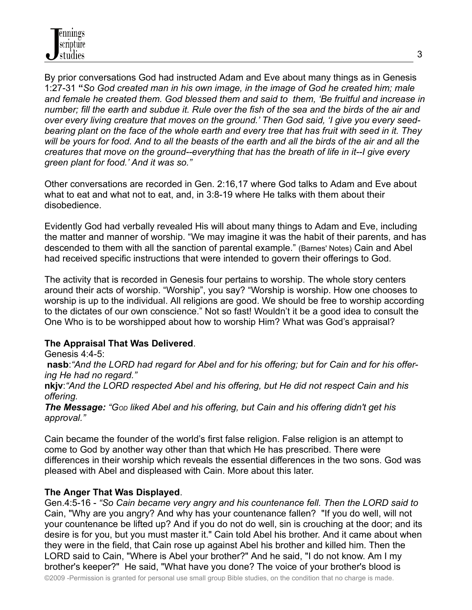By prior conversations God had instructed Adam and Eve about many things as in Genesis 1:27-31 **"***So God created man in his own image, in the image of God he created him; male and female he created them. God blessed them and said to them, 'Be fruitful and increase in* number; fill the earth and subdue it. Rule over the fish of the sea and the birds of the air and *over every living creature that moves on the ground.' Then God said, 'I give you every seed*bearing plant on the face of the whole earth and every tree that has fruit with seed in it. They will be yours for food. And to all the beasts of the earth and all the birds of the air and all the *creatures that move on the ground--everything that has the breath of life in it--I give every green plant for food.' And it was so."*

Other conversations are recorded in Gen. 2:16,17 where God talks to Adam and Eve about what to eat and what not to eat, and, in 3:8-19 where He talks with them about their disobedience.

Evidently God had verbally revealed His will about many things to Adam and Eve, including the matter and manner of worship. "We may imagine it was the habit of their parents, and has descended to them with all the sanction of parental example." (Barnes' Notes) Cain and Abel had received specific instructions that were intended to govern their offerings to God.

The activity that is recorded in Genesis four pertains to worship. The whole story centers around their acts of worship. "Worship", you say? "Worship is worship. How one chooses to worship is up to the individual. All religions are good. We should be free to worship according to the dictates of our own conscience." Not so fast! Wouldn't it be a good idea to consult the One Who is to be worshipped about how to worship Him? What was God's appraisal?

# **The Appraisal That Was Delivered**.

Genesis 4:4-5:

nasb: "And the LORD had regard for Abel and for his offering; but for Cain and for his offer*ing He had no regard."*

**nkjv**:*"And the LORD respected Abel and his offering, but He did not respect Cain and his offering.*

*The Message: "GOD liked Abel and his offering, but Cain and his offering didn't get his approval."*

Cain became the founder of the world's first false religion. False religion is an attempt to come to God by another way other than that which He has prescribed. There were differences in their worship which reveals the essential differences in the two sons. God was pleased with Abel and displeased with Cain. More about this later.

# **The Anger That Was Displayed**.

Gen.4:5-16 - *"So Cain became very angry and his countenance fell. Then the LORD said to* Cain, "Why are you angry? And why has your countenance fallen? "If you do well, will not your countenance be lifted up? And if you do not do well, sin is crouching at the door; and its desire is for you, but you must master it." Cain told Abel his brother. And it came about when they were in the field, that Cain rose up against Abel his brother and killed him. Then the LORD said to Cain, "Where is Abel your brother?" And he said, "I do not know. Am I my brother's keeper?" He said, "What have you done? The voice of your brother's blood is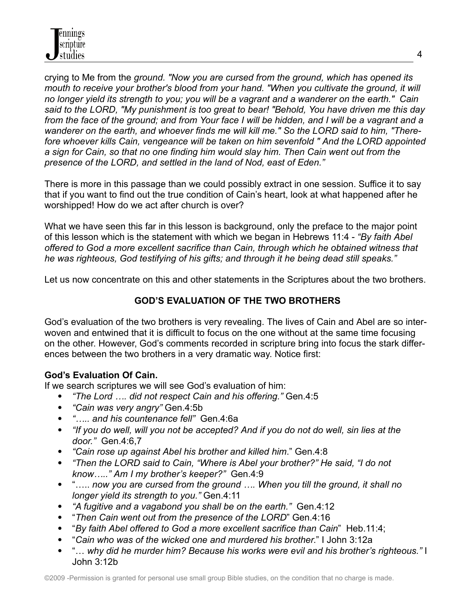crying to Me from the *ground. "Now you are cursed from the ground, which has opened its mouth to receive your brother's blood from your hand. "When you cultivate the ground, it will* no longer yield its strength to you; you will be a vagrant and a wanderer on the earth." Cain *said to the LORD, "My punishment is too great to bear! "Behold, You have driven me this day* from the face of the ground; and from Your face I will be hidden, and I will be a vagrant and a *wanderer on the earth, and whoever finds me will kill me." So the LORD said to him, "Therefore whoever kills Cain, vengeance will be taken on him sevenfold " And the LORD appointed a sign for Cain, so that no one finding him would slay him. Then Cain went out from the presence of the LORD, and settled in the land of Nod, east of Eden."*

There is more in this passage than we could possibly extract in one session. Suffice it to say that if you want to find out the true condition of Cain's heart, look at what happened after he worshipped! How do we act after church is over?

What we have seen this far in this lesson is background, only the preface to the major point of this lesson which is the statement with which we began in Hebrews 11:4 - *"By faith Abel offered to God a more excellent sacrifice than Cain, through which he obtained witness that he was righteous, God testifying of his gifts; and through it he being dead still speaks."*

Let us now concentrate on this and other statements in the Scriptures about the two brothers.

# **GOD'S EVALUATION OF THE TWO BROTHERS**

God's evaluation of the two brothers is very revealing. The lives of Cain and Abel are so interwoven and entwined that it is difficult to focus on the one without at the same time focusing on the other. However, God's comments recorded in scripture bring into focus the stark differences between the two brothers in a very dramatic way. Notice first:

# **God's Evaluation Of Cain.**

If we search scriptures we will see God's evaluation of him:

- *"The Lord …. did not respect Cain and his offering."* Gen.4:5
- *"Cain was very angry"* Gen.4:5b
- *"….. and his countenance fell"* Gen.4:6a
- "If you do well, will you not be accepted? And if you do not do well, sin lies at the *door."* Gen.4:6,7
- *"Cain rose up against Abel his brother and killed him*." Gen.4:8
- *"Then the LORD said to Cain, "Where is Abel your brother?" He said, "I do not know….." Am I my brother's keeper?"* Gen.4:9
- "….. *now you are cursed from the ground …. When you till the ground, it shall no longer yield its strength to you."* Gen.4:11
- *"A fugitive and a vagabond you shall be on the earth."* Gen.4:12
- "*Then Cain went out from the presence of the LORD*" Gen.4:16
- "*By faith Abel offered to God a more excellent sacrifice than Cain*" Heb.11:4;
- "*Cain who was of the wicked one and murdered his brother*." I John 3:12a
- "… *why did he murder him? Because his works were evil and his brother's righteous."* I John 3:12b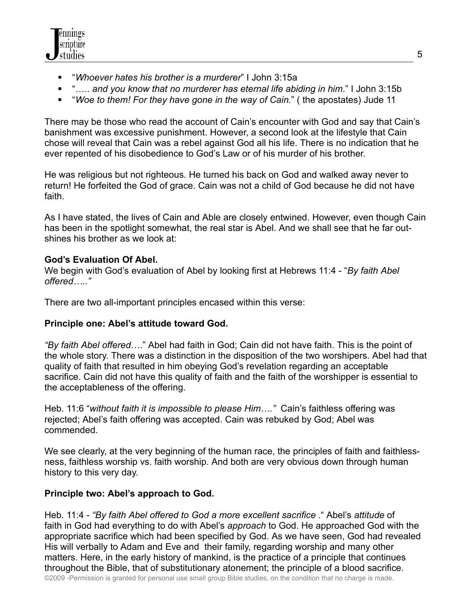

- "*Whoever hates his brother is a murderer*" I John 3:15a
- "….. *and you know that no murderer has eternal life abiding in him*." I John 3:15b
- "*Woe to them! For they have gone in the way of Cain.*" ( the apostates) Jude 11

There may be those who read the account of Cain's encounter with God and say that Cain's banishment was excessive punishment. However, a second look at the lifestyle that Cain chose will reveal that Cain was a rebel against God all his life. There is no indication that he ever repented of his disobedience to God's Law or of his murder of his brother.

He was religious but not righteous. He turned his back on God and walked away never to return! He forfeited the God of grace. Cain was not a child of God because he did not have faith.

As I have stated, the lives of Cain and Able are closely entwined. However, even though Cain has been in the spotlight somewhat, the real star is Abel. And we shall see that he far outshines his brother as we look at:

# **God's Evaluation Of Abel.**

We begin with God's evaluation of Abel by looking first at Hebrews 11:4 - "*By faith Abel offered….."*

There are two all-important principles encased within this verse:

# **Principle one: Abel's attitude toward God.**

*"By faith Abel offered*…." Abel had faith in God; Cain did not have faith. This is the point of the whole story. There was a distinction in the disposition of the two worshipers. Abel had that quality of faith that resulted in him obeying God's revelation regarding an acceptable sacrifice. Cain did not have this quality of faith and the faith of the worshipper is essential to the acceptableness of the offering.

Heb. 11:6 "*without faith it is impossible to please Him…."* Cain's faithless offering was rejected; Abel's faith offering was accepted. Cain was rebuked by God; Abel was commended.

We see clearly, at the very beginning of the human race, the principles of faith and faithlessness, faithless worship vs. faith worship. And both are very obvious down through human history to this very day.

# **Principle two: Abel's approach to God.**

Heb. 11:4 - *"By faith Abel offered to God a more excellent sacrifice* ." Abel's *attitude* of faith in God had everything to do with Abel's *approach* to God. He approached God with the appropriate sacrifice which had been specified by God. As we have seen, God had revealed His will verbally to Adam and Eve and their family, regarding worship and many other matters. Here, in the early history of mankind, is the practice of a principle that continues throughout the Bible, that of substitutionary atonement; the principle of a blood sacrifice.